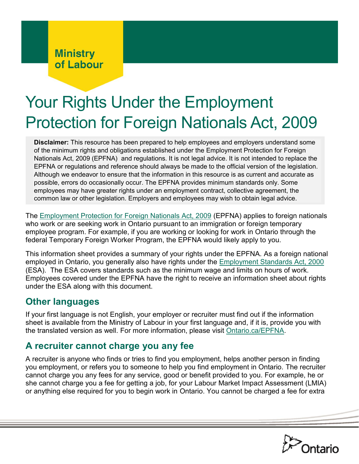# **Ministry** of Labour

# Your Rights Under the Employment Protection for Foreign Nationals Act, 2009

**Disclaimer:** This resource has been prepared to help employees and employers understand some of the minimum rights and obligations established under the Employment Protection for Foreign Nationals Act, 2009 (EPFNA) and regulations. It is not legal advice. It is not intended to replace the EPFNA or regulations and reference should always be made to the official version of the legislation. Although we endeavor to ensure that the information in this resource is as current and accurate as possible, errors do occasionally occur. The EPFNA provides minimum standards only. Some employees may have greater rights under an employment contract, collective agreement, the common law or other legislation. Employers and employees may wish to obtain legal advice.

The [Employment Protection for Foreign Nationals Act, 2009](http://www.ontario.ca/laws/statute/09e32) (EPFNA) applies to foreign nationals who work or are seeking work in Ontario pursuant to an immigration or foreign temporary employee program. For example, if you are working or looking for work in Ontario through the federal Temporary Foreign Worker Program, the EPFNA would likely apply to you.

This information sheet provides a summary of your rights under the EPFNA. As a foreign national employed in Ontario, you generally also have rights under the [Employment Standards Act, 2000](http://www.ontario.ca/laws/statute/00e41) (ESA). The ESA covers standards such as the minimum wage and limits on hours of work. Employees covered under the EPFNA have the right to receive an information sheet about rights under the ESA along with this document.

## **Other languages**

If your first language is not English, your employer or recruiter must find out if the information sheet is available from the Ministry of Labour in your first language and, if it is, provide you with the translated version as well. For more information, please visit [Ontario.ca/EPFNA.](http://ontario.ca/EPFNA)

# **A recruiter cannot charge you any fee**

A recruiter is anyone who finds or tries to find you employment, helps another person in finding you employment, or refers you to someone to help you find employment in Ontario. The recruiter cannot charge you any fees for any service, good or benefit provided to you. For example, he or she cannot charge you a fee for getting a job, for your Labour Market Impact Assessment (LMIA) or anything else required for you to begin work in Ontario. You cannot be charged a fee for extra

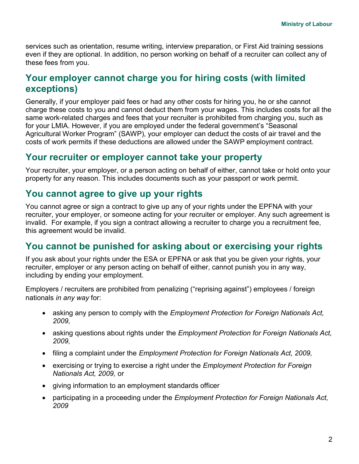services such as orientation, resume writing, interview preparation, or First Aid training sessions even if they are optional. In addition, no person working on behalf of a recruiter can collect any of these fees from you.

#### **Your employer cannot charge you for hiring costs (with limited exceptions)**

Generally, if your employer paid fees or had any other costs for hiring you, he or she cannot charge these costs to you and cannot deduct them from your wages. This includes costs for all the same work-related charges and fees that your recruiter is prohibited from charging you, such as for your LMIA. However, if you are employed under the federal government's "Seasonal Agricultural Worker Program" (SAWP), your employer can deduct the costs of air travel and the costs of work permits if these deductions are allowed under the SAWP employment contract.

#### **Your recruiter or employer cannot take your property**

Your recruiter, your employer, or a person acting on behalf of either, cannot take or hold onto your property for any reason. This includes documents such as your passport or work permit.

## **You cannot agree to give up your rights**

You cannot agree or sign a contract to give up any of your rights under the EPFNA with your recruiter, your employer, or someone acting for your recruiter or employer. Any such agreement is invalid. For example, if you sign a contract allowing a recruiter to charge you a recruitment fee, this agreement would be invalid.

#### **You cannot be punished for asking about or exercising your rights**

If you ask about your rights under the ESA or EPFNA or ask that you be given your rights, your recruiter, employer or any person acting on behalf of either, cannot punish you in any way, including by ending your employment.

Employers / recruiters are prohibited from penalizing ("reprising against") employees / foreign nationals *in any way* for:

- asking any person to comply with the *Employment Protection for Foreign Nationals Act, 2009,*
- asking questions about rights under the *Employment Protection for Foreign Nationals Act, 2009,*
- filing a complaint under the *Employment Protection for Foreign Nationals Act, 2009,*
- exercising or trying to exercise a right under the *Employment Protection for Foreign Nationals Act, 2009,* or
- giving information to an employment standards officer
- participating in a proceeding under the *Employment Protection for Foreign Nationals Act, 2009*